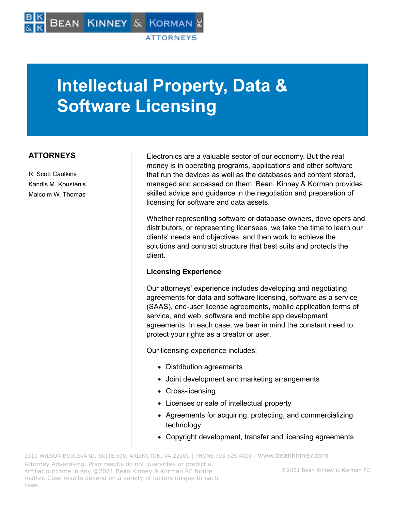# **Intellectual Property, Data & Software Licensing**

## **ATTORNEYS**

R. Scott Caulkins Kandis M. Koustenis Malcolm W. Thomas

Electronics are a valuable sector of our economy. But the real money is in operating programs, applications and other software that run the devices as well as the databases and content stored, managed and accessed on them. Bean, Kinney & Korman provides skilled advice and guidance in the negotiation and preparation of licensing for software and data assets.

Whether representing software or database owners, developers and distributors, or representing licensees, we take the time to learn our clients' needs and objectives, and then work to achieve the solutions and contract structure that best suits and protects the client.

#### **Licensing Experience**

Our attorneys' experience includes developing and negotiating agreements for data and software licensing, software as a service (SAAS), end-user license agreements, mobile application terms of service, and web, software and mobile app development agreements. In each case, we bear in mind the constant need to protect your rights as a creator or user.

Our licensing experience includes:

- Distribution agreements
- Joint development and marketing arrangements
- Cross-licensing
- Licenses or sale of intellectual property
- Agreements for acquiring, protecting, and commercializing technology
- Copyright development, transfer and licensing agreements